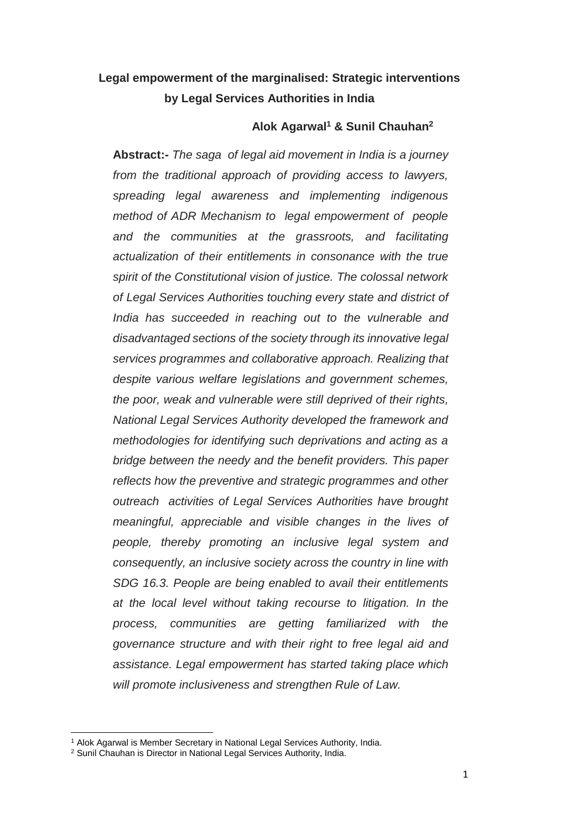# **Legal empowerment of the marginalised: Strategic interventions by Legal Services Authorities in India**

### **Alok Agarwal<sup>1</sup> & Sunil Chauhan<sup>2</sup>**

**Abstract:-** *The saga of legal aid movement in India is a journey from the traditional approach of providing access to lawyers, spreading legal awareness and implementing indigenous method of ADR Mechanism to legal empowerment of people and the communities at the grassroots, and facilitating actualization of their entitlements in consonance with the true spirit of the Constitutional vision of justice. The colossal network of Legal Services Authorities touching every state and district of India has succeeded in reaching out to the vulnerable and disadvantaged sections of the society through its innovative legal services programmes and collaborative approach. Realizing that despite various welfare legislations and government schemes, the poor, weak and vulnerable were still deprived of their rights, National Legal Services Authority developed the framework and methodologies for identifying such deprivations and acting as a bridge between the needy and the benefit providers. This paper reflects how the preventive and strategic programmes and other outreach activities of Legal Services Authorities have brought meaningful, appreciable and visible changes in the lives of people, thereby promoting an inclusive legal system and consequently, an inclusive society across the country in line with SDG 16.3. People are being enabled to avail their entitlements at the local level without taking recourse to litigation. In the process, communities are getting familiarized with the governance structure and with their right to free legal aid and assistance. Legal empowerment has started taking place which will promote inclusiveness and strengthen Rule of Law.*

<sup>&</sup>lt;sup>1</sup> Alok Agarwal is Member Secretary in National Legal Services Authority, India.

<sup>2</sup> Sunil Chauhan is Director in National Legal Services Authority, India.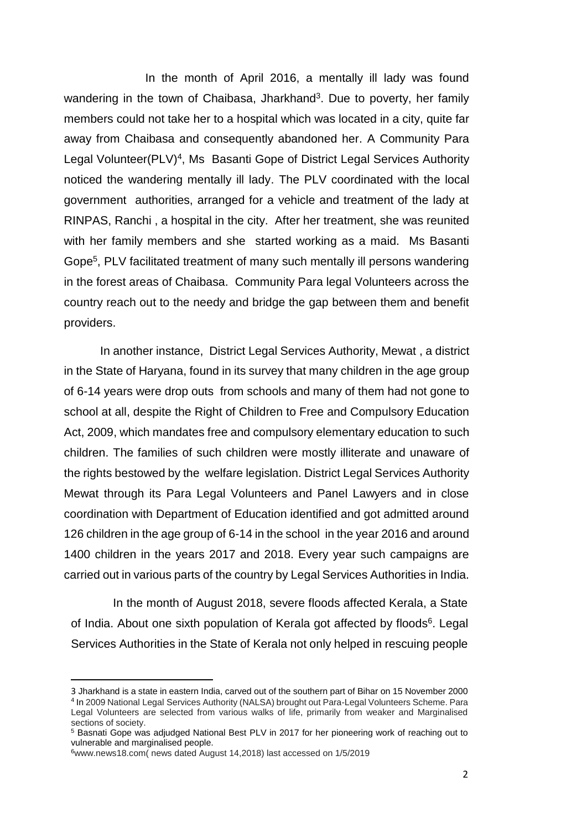In the month of April 2016, a mentally ill lady was found wandering in the town of Chaibasa, Jharkhand<sup>3</sup>. Due to poverty, her family members could not take her to a hospital which was located in a city, quite far away from Chaibasa and consequently abandoned her. A Community Para Legal Volunteer(PLV)<sup>4</sup>, Ms Basanti Gope of District Legal Services Authority noticed the wandering mentally ill lady. The PLV coordinated with the local government authorities, arranged for a vehicle and treatment of the lady at RINPAS, Ranchi , a hospital in the city. After her treatment, she was reunited with her family members and she started working as a maid. Ms Basanti Gope<sup>5</sup>, PLV facilitated treatment of many such mentally ill persons wandering in the forest areas of Chaibasa. Community Para legal Volunteers across the country reach out to the needy and bridge the gap between them and benefit providers.

 In another instance, District Legal Services Authority, Mewat , a district in the State of Haryana, found in its survey that many children in the age group of 6-14 years were drop outs from schools and many of them had not gone to school at all, despite the Right of Children to Free and Compulsory Education Act, 2009, which mandates free and compulsory elementary education to such children. The families of such children were mostly illiterate and unaware of the rights bestowed by the welfare legislation. District Legal Services Authority Mewat through its Para Legal Volunteers and Panel Lawyers and in close coordination with Department of Education identified and got admitted around 126 children in the age group of 6-14 in the school in the year 2016 and around 1400 children in the years 2017 and 2018. Every year such campaigns are carried out in various parts of the country by Legal Services Authorities in India.

 In the month of August 2018, severe floods affected Kerala, a State of India. About one sixth population of Kerala got affected by floods<sup>6</sup>. Legal Services Authorities in the State of Kerala not only helped in rescuing people

 $\overline{\phantom{a}}$ 

<sup>3</sup> Jharkhand is a state in eastern India, carved out of the southern part of Bihar on 15 November 2000 4 In 2009 National Legal Services Authority (NALSA) brought out Para-Legal Volunteers Scheme. Para Legal Volunteers are selected from various walks of life, primarily from weaker and Marginalised sections of society.

<sup>5</sup> Basnati Gope was adjudged National Best PLV in 2017 for her pioneering work of reaching out to vulnerable and marginalised people.

<sup>6</sup>[www.news18.com\(](http://www.news18.com/) news dated August 14,2018) last accessed on 1/5/2019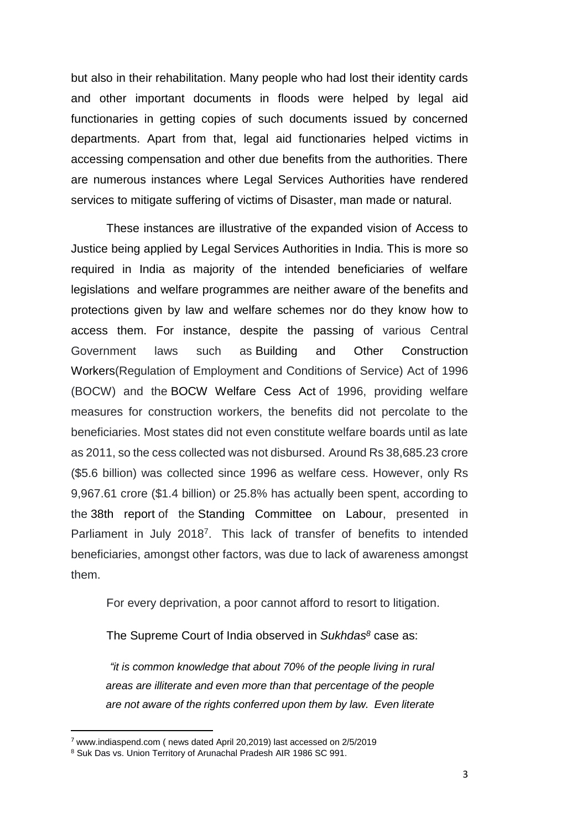but also in their rehabilitation. Many people who had lost their identity cards and other important documents in floods were helped by legal aid functionaries in getting copies of such documents issued by concerned departments. Apart from that, legal aid functionaries helped victims in accessing compensation and other due benefits from the authorities. There are numerous instances where Legal Services Authorities have rendered services to mitigate suffering of victims of Disaster, man made or natural.

These instances are illustrative of the expanded vision of Access to Justice being applied by Legal Services Authorities in India. This is more so required in India as majority of the intended beneficiaries of welfare legislations and welfare programmes are neither aware of the benefits and protections given by law and welfare schemes nor do they know how to access them. For instance, despite the passing of various Central Government laws such as Building and Other Construction Workers(Regulation of Employment and Conditions of Service) Act of 1996 (BOCW) and the BOCW Welfare Cess Act of 1996, providing welfare measures for construction workers, the benefits did not percolate to the beneficiaries. Most states did not even constitute welfare boards until as late as 2011, so the cess collected was not disbursed. Around Rs 38,685.23 crore (\$5.6 billion) was collected since 1996 as welfare cess. However, only Rs 9,967.61 crore (\$1.4 billion) or 25.8% has actually been spent, according to the 38th report of the Standing Committee on Labour, presented in Parliament in July 2018<sup>7</sup>. This lack of transfer of benefits to intended beneficiaries, amongst other factors, was due to lack of awareness amongst them.

For every deprivation, a poor cannot afford to resort to litigation.

The Supreme Court of India observed in *Sukhdas<sup>8</sup>* case as:

*"it is common knowledge that about 70% of the people living in rural areas are illiterate and even more than that percentage of the people are not aware of the rights conferred upon them by law. Even literate* 

 $\overline{\phantom{a}}$ 

<sup>7</sup> [www.indiaspend.com](http://www.indiaspend.com/) ( news dated April 20,2019) last accessed on 2/5/2019

<sup>8</sup> Suk Das vs. Union Territory of Arunachal Pradesh AIR 1986 SC 991.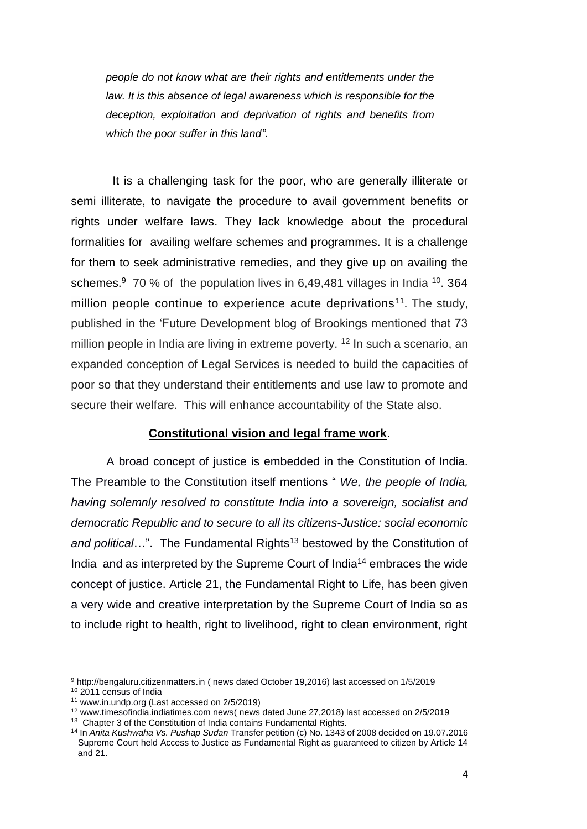*people do not know what are their rights and entitlements under the law. It is this absence of legal awareness which is responsible for the deception, exploitation and deprivation of rights and benefits from which the poor suffer in this land"*.

 It is a challenging task for the poor, who are generally illiterate or semi illiterate, to navigate the procedure to avail government benefits or rights under welfare laws. They lack knowledge about the procedural formalities for availing welfare schemes and programmes. It is a challenge for them to seek administrative remedies, and they give up on availing the schemes.<sup>9</sup> 70 % of the population lives in 6,49,481 villages in India <sup>10</sup>. 364 million people continue to experience acute deprivations<sup>11</sup>. The study, published in the 'Future Development blog of Brookings mentioned that 73 million people in India are living in extreme poverty. <sup>12</sup> In such a scenario, an expanded conception of Legal Services is needed to build the capacities of poor so that they understand their entitlements and use law to promote and secure their welfare. This will enhance accountability of the State also.

#### **Constitutional vision and legal frame work**.

A broad concept of justice is embedded in the Constitution of India. The Preamble to the Constitution itself mentions " *We, the people of India, having solemnly resolved to constitute India into a sovereign, socialist and democratic Republic and to secure to all its citizens-Justice: social economic*  and political...". The Fundamental Rights<sup>13</sup> bestowed by the Constitution of India and as interpreted by the Supreme Court of India<sup>14</sup> embraces the wide concept of justice. Article 21, the Fundamental Right to Life, has been given a very wide and creative interpretation by the Supreme Court of India so as to include right to health, right to livelihood, right to clean environment, right

<sup>9</sup> [http://bengaluru.citizenmatters.in](http://bengaluru.citizenmatters.in/) ( news dated October 19,2016) last accessed on 1/5/2019 <sup>10</sup> 2011 census of India

<sup>11</sup> [www.in.undp.org](http://www.in.undp.org/) (Last accessed on 2/5/2019)

<sup>12</sup> www.timesofindia.indiatimes.com news( news dated June 27,2018) last accessed on 2/5/2019

<sup>&</sup>lt;sup>13</sup> Chapter 3 of the Constitution of India contains Fundamental Rights.

<sup>14</sup> In *Anita Kushwaha Vs. Pushap Sudan* Transfer petition (c) No. 1343 of 2008 decided on 19.07.2016 Supreme Court held Access to Justice as Fundamental Right as guaranteed to citizen by Article 14 and 21.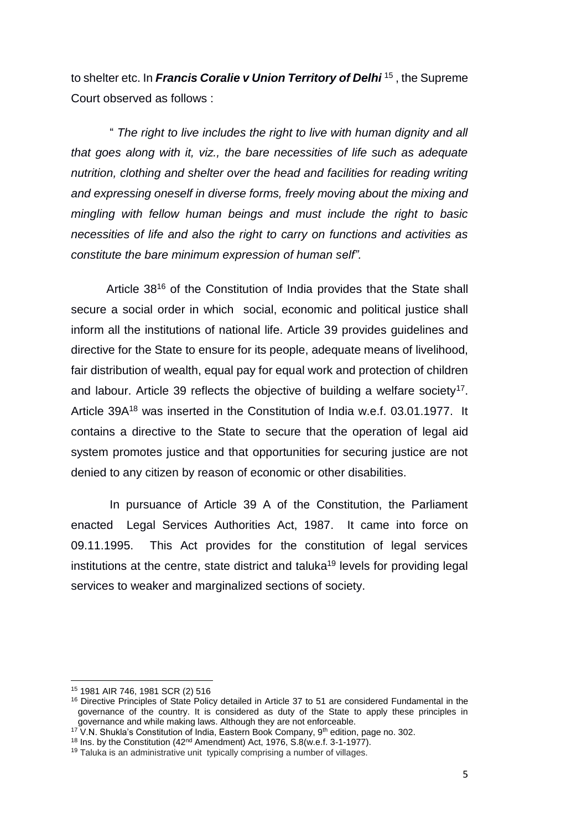to shelter etc. In *Francis Coralie v Union Territory of Delhi* <sup>15</sup> , the Supreme Court observed as follows :

" *The right to live includes the right to live with human dignity and all that goes along with it, viz., the bare necessities of life such as adequate nutrition, clothing and shelter over the head and facilities for reading writing and expressing oneself in diverse forms, freely moving about the mixing and mingling with fellow human beings and must include the right to basic necessities of life and also the right to carry on functions and activities as constitute the bare minimum expression of human self".*

Article 38<sup>16</sup> of the Constitution of India provides that the State shall secure a social order in which social, economic and political justice shall inform all the institutions of national life. Article 39 provides guidelines and directive for the State to ensure for its people, adequate means of livelihood, fair distribution of wealth, equal pay for equal work and protection of children and labour. Article 39 reflects the objective of building a welfare society<sup>17</sup>. Article 39A<sup>18</sup> was inserted in the Constitution of India w.e.f. 03.01.1977. It contains a directive to the State to secure that the operation of legal aid system promotes justice and that opportunities for securing justice are not denied to any citizen by reason of economic or other disabilities.

In pursuance of Article 39 A of the Constitution, the Parliament enacted Legal Services Authorities Act, 1987. It came into force on 09.11.1995. This Act provides for the constitution of legal services institutions at the centre, state district and taluka <sup>19</sup> levels for providing legal services to weaker and marginalized sections of society.

<sup>15</sup> 1981 AIR 746, 1981 SCR (2) 516

<sup>&</sup>lt;sup>16</sup> Directive Principles of State Policy detailed in Article 37 to 51 are considered Fundamental in the governance of the country. It is considered as duty of the State to apply these principles in governance and while making laws. Although they are not enforceable.

<sup>&</sup>lt;sup>17</sup> V.N. Shukla's Constitution of India, Eastern Book Company,  $9<sup>th</sup>$  edition, page no. 302.

<sup>&</sup>lt;sup>18</sup> Ins. by the Constitution (42<sup>nd</sup> Amendment) Act, 1976, S.8(w.e.f. 3-1-1977).

<sup>&</sup>lt;sup>19</sup> Taluka is an administrative unit typically comprising a number of villages.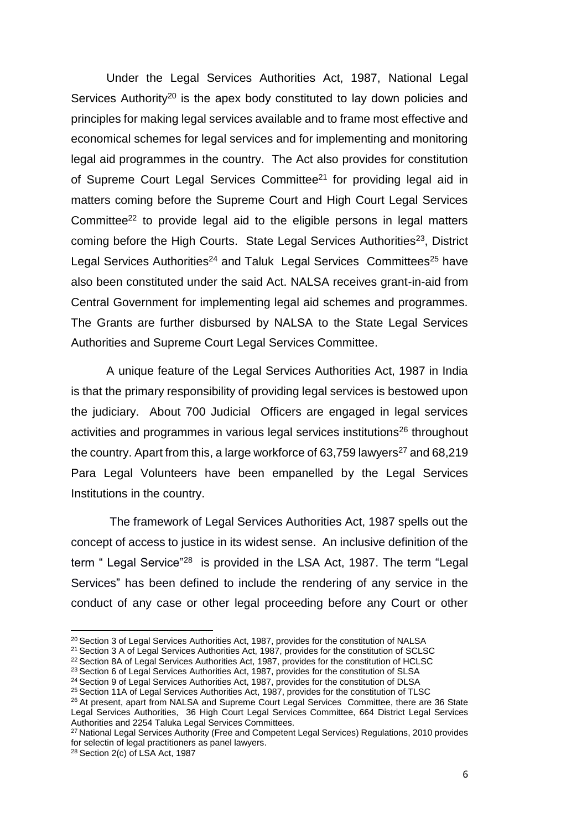Under the Legal Services Authorities Act, 1987, National Legal Services Authority<sup>20</sup> is the apex body constituted to lay down policies and principles for making legal services available and to frame most effective and economical schemes for legal services and for implementing and monitoring legal aid programmes in the country. The Act also provides for constitution of Supreme Court Legal Services Committee<sup>21</sup> for providing legal aid in matters coming before the Supreme Court and High Court Legal Services Committee<sup>22</sup> to provide legal aid to the eligible persons in legal matters coming before the High Courts. State Legal Services Authorities<sup>23</sup>, District Legal Services Authorities<sup>24</sup> and Taluk Legal Services Committees<sup>25</sup> have also been constituted under the said Act. NALSA receives grant-in-aid from Central Government for implementing legal aid schemes and programmes. The Grants are further disbursed by NALSA to the State Legal Services Authorities and Supreme Court Legal Services Committee.

A unique feature of the Legal Services Authorities Act, 1987 in India is that the primary responsibility of providing legal services is bestowed upon the judiciary. About 700 Judicial Officers are engaged in legal services activities and programmes in various legal services institutions<sup>26</sup> throughout the country. Apart from this, a large workforce of 63,759 lawyers<sup>27</sup> and 68,219 Para Legal Volunteers have been empanelled by the Legal Services Institutions in the country.

The framework of Legal Services Authorities Act, 1987 spells out the concept of access to justice in its widest sense. An inclusive definition of the term " Legal Service"<sup>28</sup> is provided in the LSA Act, 1987. The term "Legal Services" has been defined to include the rendering of any service in the conduct of any case or other legal proceeding before any Court or other

<sup>&</sup>lt;sup>20</sup> Section 3 of Legal Services Authorities Act, 1987, provides for the constitution of NALSA

<sup>&</sup>lt;sup>21</sup> Section 3 A of Legal Services Authorities Act, 1987, provides for the constitution of SCLSC

<sup>&</sup>lt;sup>22</sup> Section 8A of Legal Services Authorities Act, 1987, provides for the constitution of HCLSC

<sup>23</sup> Section 6 of Legal Services Authorities Act, 1987, provides for the constitution of SLSA

<sup>&</sup>lt;sup>24</sup> Section 9 of Legal Services Authorities Act, 1987, provides for the constitution of DLSA

<sup>&</sup>lt;sup>25</sup> Section 11A of Legal Services Authorities Act, 1987, provides for the constitution of TLSC

<sup>&</sup>lt;sup>26</sup> At present, apart from NALSA and Supreme Court Legal Services Committee, there are 36 State Legal Services Authorities, 36 High Court Legal Services Committee, 664 District Legal Services Authorities and 2254 Taluka Legal Services Committees.

<sup>&</sup>lt;sup>27</sup> National Legal Services Authority (Free and Competent Legal Services) Regulations, 2010 provides for selectin of legal practitioners as panel lawyers.

<sup>28</sup> Section 2(c) of LSA Act, 1987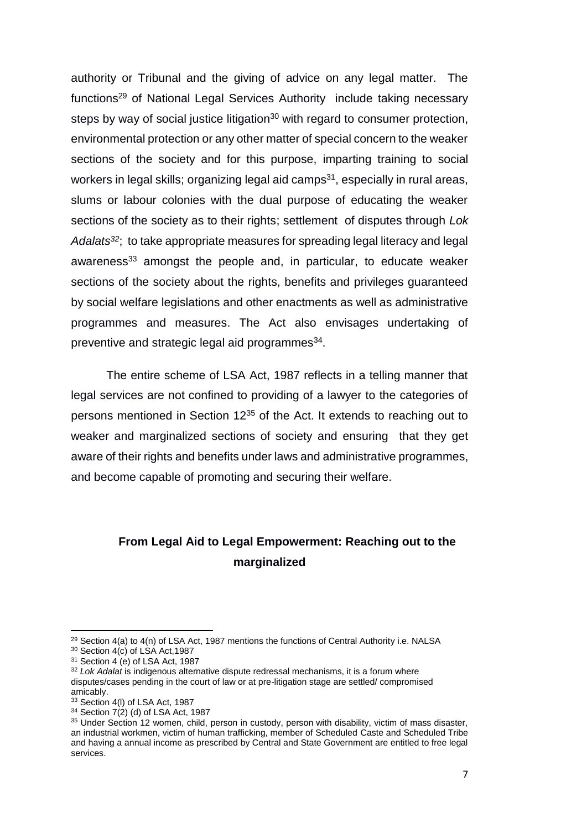authority or Tribunal and the giving of advice on any legal matter. The functions<sup>29</sup> of National Legal Services Authority include taking necessary steps by way of social justice litigation<sup>30</sup> with regard to consumer protection, environmental protection or any other matter of special concern to the weaker sections of the society and for this purpose, imparting training to social workers in legal skills; organizing legal aid camps $31$ , especially in rural areas, slums or labour colonies with the dual purpose of educating the weaker sections of the society as to their rights; settlement of disputes through *Lok Adalats<sup>32</sup>*; to take appropriate measures for spreading legal literacy and legal awareness<sup>33</sup> amongst the people and, in particular, to educate weaker sections of the society about the rights, benefits and privileges guaranteed by social welfare legislations and other enactments as well as administrative programmes and measures. The Act also envisages undertaking of preventive and strategic legal aid programmes $^{34}$ .

The entire scheme of LSA Act, 1987 reflects in a telling manner that legal services are not confined to providing of a lawyer to the categories of persons mentioned in Section 12<sup>35</sup> of the Act. It extends to reaching out to weaker and marginalized sections of society and ensuring that they get aware of their rights and benefits under laws and administrative programmes, and become capable of promoting and securing their welfare.

## **From Legal Aid to Legal Empowerment: Reaching out to the marginalized**

 $29$  Section 4(a) to 4(n) of LSA Act, 1987 mentions the functions of Central Authority i.e. NALSA

 $30$  Section 4(c) of LSA Act, 1987

 $31$  Section 4 (e) of LSA Act, 1987

<sup>32</sup> *Lok Adalat* is indigenous alternative dispute redressal mechanisms, it is a forum where disputes/cases pending in the court of law or at pre-litigation stage are settled/ compromised amicably.

<sup>&</sup>lt;sup>33</sup> Section 4(I) of LSA Act, 1987

<sup>34</sup> Section 7(2) (d) of LSA Act, 1987

<sup>35</sup> Under Section 12 women, child, person in custody, person with disability, victim of mass disaster, an industrial workmen, victim of human trafficking, member of Scheduled Caste and Scheduled Tribe and having a annual income as prescribed by Central and State Government are entitled to free legal services.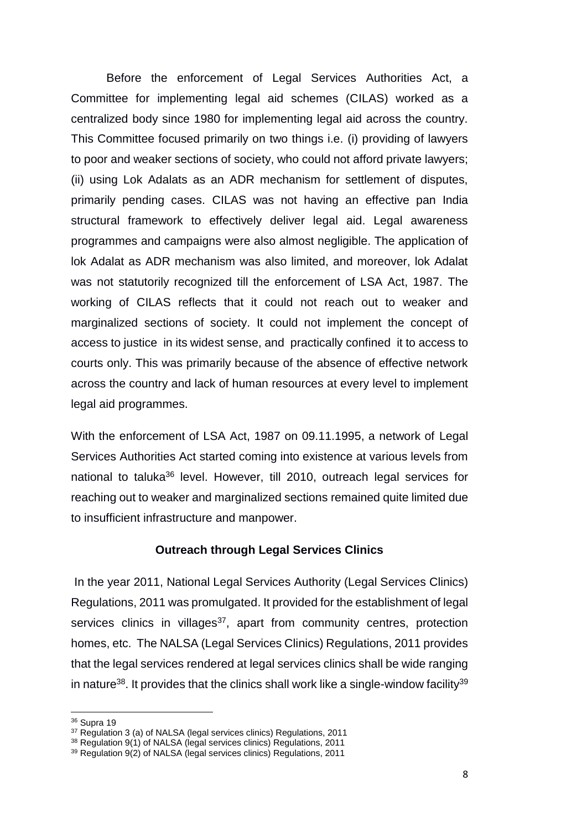Before the enforcement of Legal Services Authorities Act, a Committee for implementing legal aid schemes (CILAS) worked as a centralized body since 1980 for implementing legal aid across the country. This Committee focused primarily on two things i.e. (i) providing of lawyers to poor and weaker sections of society, who could not afford private lawyers; (ii) using Lok Adalats as an ADR mechanism for settlement of disputes, primarily pending cases. CILAS was not having an effective pan India structural framework to effectively deliver legal aid. Legal awareness programmes and campaigns were also almost negligible. The application of lok Adalat as ADR mechanism was also limited, and moreover, lok Adalat was not statutorily recognized till the enforcement of LSA Act, 1987. The working of CILAS reflects that it could not reach out to weaker and marginalized sections of society. It could not implement the concept of access to justice in its widest sense, and practically confined it to access to courts only. This was primarily because of the absence of effective network across the country and lack of human resources at every level to implement legal aid programmes.

With the enforcement of LSA Act, 1987 on 09.11.1995, a network of Legal Services Authorities Act started coming into existence at various levels from national to taluka<sup>36</sup> level. However, till 2010, outreach legal services for reaching out to weaker and marginalized sections remained quite limited due to insufficient infrastructure and manpower.

### **Outreach through Legal Services Clinics**

In the year 2011, National Legal Services Authority (Legal Services Clinics) Regulations, 2011 was promulgated. It provided for the establishment of legal services clinics in villages $37$ , apart from community centres, protection homes, etc. The NALSA (Legal Services Clinics) Regulations, 2011 provides that the legal services rendered at legal services clinics shall be wide ranging in nature<sup>38</sup>. It provides that the clinics shall work like a single-window facility<sup>39</sup>

<sup>36</sup> Supra 19

<sup>&</sup>lt;sup>37</sup> Regulation 3 (a) of NALSA (legal services clinics) Regulations, 2011

<sup>38</sup> Regulation 9(1) of NALSA (legal services clinics) Regulations, 2011

<sup>39</sup> Regulation 9(2) of NALSA (legal services clinics) Regulations, 2011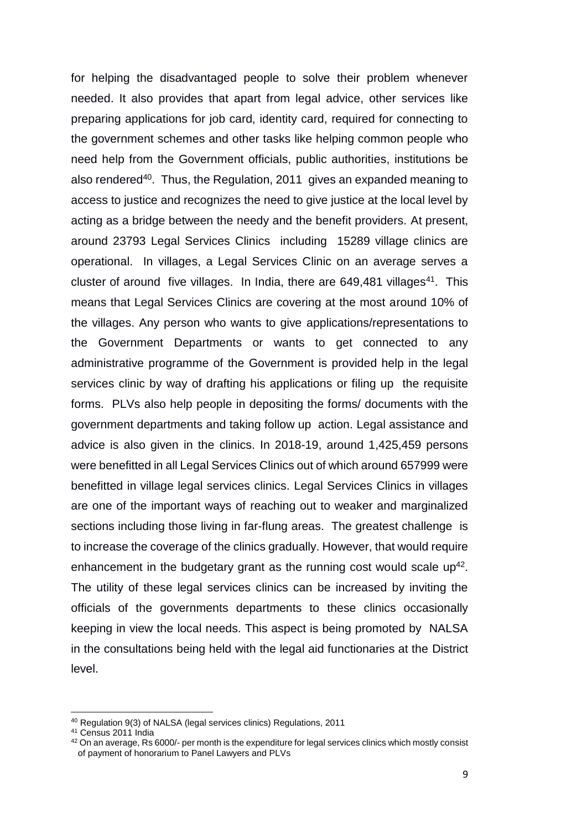for helping the disadvantaged people to solve their problem whenever needed. It also provides that apart from legal advice, other services like preparing applications for job card, identity card, required for connecting to the government schemes and other tasks like helping common people who need help from the Government officials, public authorities, institutions be also rendered<sup>40</sup>. Thus, the Regulation, 2011 gives an expanded meaning to access to justice and recognizes the need to give justice at the local level by acting as a bridge between the needy and the benefit providers. At present, around 23793 Legal Services Clinics including 15289 village clinics are operational. In villages, a Legal Services Clinic on an average serves a cluster of around five villages. In India, there are  $649,481$  villages<sup>41</sup>. This means that Legal Services Clinics are covering at the most around 10% of the villages. Any person who wants to give applications/representations to the Government Departments or wants to get connected to any administrative programme of the Government is provided help in the legal services clinic by way of drafting his applications or filing up the requisite forms. PLVs also help people in depositing the forms/ documents with the government departments and taking follow up action. Legal assistance and advice is also given in the clinics. In 2018-19, around 1,425,459 persons were benefitted in all Legal Services Clinics out of which around 657999 were benefitted in village legal services clinics. Legal Services Clinics in villages are one of the important ways of reaching out to weaker and marginalized sections including those living in far-flung areas. The greatest challenge is to increase the coverage of the clinics gradually. However, that would require enhancement in the budgetary grant as the running cost would scale  $up^{42}$ . The utility of these legal services clinics can be increased by inviting the officials of the governments departments to these clinics occasionally keeping in view the local needs. This aspect is being promoted by NALSA in the consultations being held with the legal aid functionaries at the District level.

<sup>40</sup> Regulation 9(3) of NALSA (legal services clinics) Regulations, 2011

<sup>41</sup> Census 2011 India

 $42$  On an average, Rs 6000/- per month is the expenditure for legal services clinics which mostly consist of payment of honorarium to Panel Lawyers and PLVs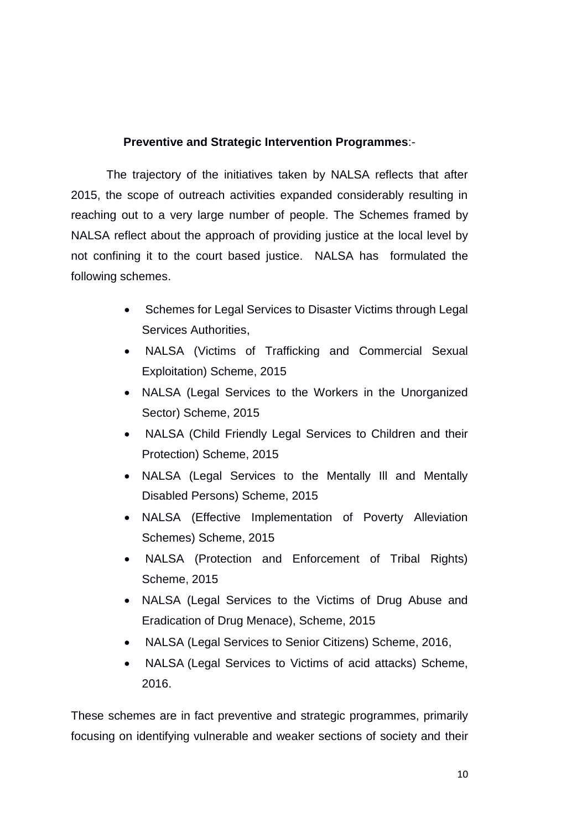### **Preventive and Strategic Intervention Programmes**:-

The trajectory of the initiatives taken by NALSA reflects that after 2015, the scope of outreach activities expanded considerably resulting in reaching out to a very large number of people. The Schemes framed by NALSA reflect about the approach of providing justice at the local level by not confining it to the court based justice. NALSA has formulated the following schemes.

- [Schemes for Legal Services to Disaster Victims through Legal](https://nalsa.gov.in/sites/default/files/document/A%20scheme%20for%20disaster%20victims.pdf)  [Services Authorities,](https://nalsa.gov.in/sites/default/files/document/A%20scheme%20for%20disaster%20victims.pdf)
- [NALSA \(Victims of Trafficking and Commercial Sexual](https://nalsa.gov.in/sites/default/files/document/scheme/Victims%20of%20Trafficking%20and%20Commercial%20Sexual%20Exploitation.pdf)  [Exploitation\) Scheme, 2015](https://nalsa.gov.in/sites/default/files/document/scheme/Victims%20of%20Trafficking%20and%20Commercial%20Sexual%20Exploitation.pdf)
- [NALSA \(Legal Services to the Workers in the Unorganized](https://nalsa.gov.in/sites/default/files/document/Legal%20Services%20to%20the%20Workers%20in%20the%20Unorganized%20Sector.pdf)  [Sector\) Scheme, 2015](https://nalsa.gov.in/sites/default/files/document/Legal%20Services%20to%20the%20Workers%20in%20the%20Unorganized%20Sector.pdf)
- [NALSA \(Child Friendly Legal Services to Children and their](https://nalsa.gov.in/sites/default/files/document/Child%20Friendly%20Legal%20Services%20to%20Children%20and%20their%20Protection.pdf)  [Protection\) Scheme, 2015](https://nalsa.gov.in/sites/default/files/document/Child%20Friendly%20Legal%20Services%20to%20Children%20and%20their%20Protection.pdf)
- [NALSA \(Legal Services to the Mentally Ill and Mentally](https://nalsa.gov.in/sites/default/files/document/Legal%20Services%20to%20the%20Mentally%20Ill%20and%20Mentally%20Disabled%20Persons.pdf)  [Disabled Persons\) Scheme, 2015](https://nalsa.gov.in/sites/default/files/document/Legal%20Services%20to%20the%20Mentally%20Ill%20and%20Mentally%20Disabled%20Persons.pdf)
- [NALSA \(Effective Implementation of Poverty Alleviation](https://nalsa.gov.in/sites/default/files/document/Effective%20Implementation%20of%20Poverty%20Alleviation%20Schemes.pdf)  [Schemes\) Scheme, 2015](https://nalsa.gov.in/sites/default/files/document/Effective%20Implementation%20of%20Poverty%20Alleviation%20Schemes.pdf)
- [NALSA \(Protection and Enforcement of Tribal Rights\)](https://nalsa.gov.in/sites/default/files/document/Protection%20and%20Enforcement%20of%20Tribal%20Rights.pdf)  [Scheme, 2015](https://nalsa.gov.in/sites/default/files/document/Protection%20and%20Enforcement%20of%20Tribal%20Rights.pdf)
- [NALSA \(Legal Services to the Victims of Drug Abuse and](https://nalsa.gov.in/sites/default/files/document/Legal%20Services%20to%20the%20Victims%20of%20Drug%20Abuse%20and%20Eradication%20of%20Drug%20Menace.pdf)  [Eradication of Drug Menace\), Scheme, 2015](https://nalsa.gov.in/sites/default/files/document/Legal%20Services%20to%20the%20Victims%20of%20Drug%20Abuse%20and%20Eradication%20of%20Drug%20Menace.pdf)
- NALSA [\(Legal Services to Senior Citizens\) Scheme, 2016,](https://nalsa.gov.in/sites/default/files/document/NALSA%20(LEGAL%20SERVICES%20TO%20SENIOR%20CITIZENS)%20SCHEME,%202016.pdf)
- NALSA [\(Legal Services to Victims of acid attacks\) Scheme,](https://nalsa.gov.in/sites/default/files/document/NALSA%20(LEGAL%20SERVICES%20TO%20VICTIMS%20OF%20ACID%20ATTACKS)%20SCHEME,%202016.pdf)  [2016.](https://nalsa.gov.in/sites/default/files/document/NALSA%20(LEGAL%20SERVICES%20TO%20VICTIMS%20OF%20ACID%20ATTACKS)%20SCHEME,%202016.pdf)

These schemes are in fact preventive and strategic programmes, primarily focusing on identifying vulnerable and weaker sections of society and their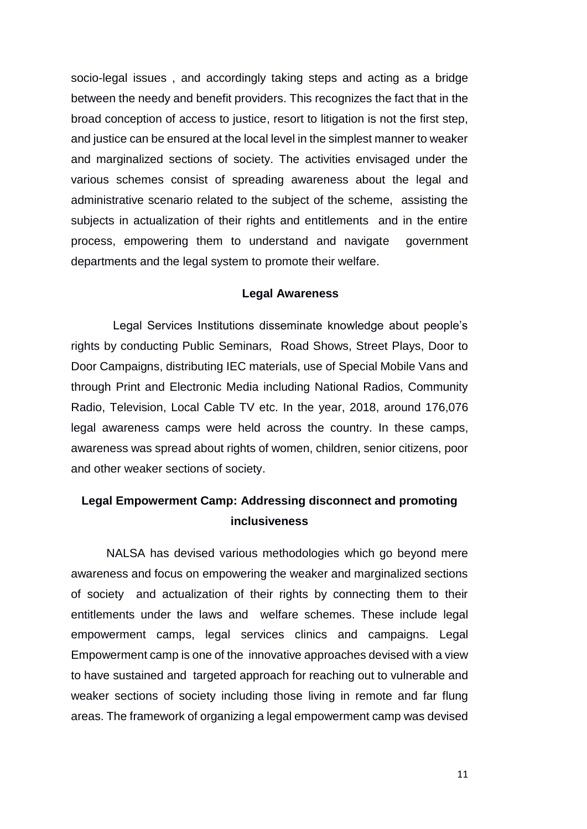socio-legal issues , and accordingly taking steps and acting as a bridge between the needy and benefit providers. This recognizes the fact that in the broad conception of access to justice, resort to litigation is not the first step, and justice can be ensured at the local level in the simplest manner to weaker and marginalized sections of society. The activities envisaged under the various schemes consist of spreading awareness about the legal and administrative scenario related to the subject of the scheme, assisting the subjects in actualization of their rights and entitlements and in the entire process, empowering them to understand and navigate government departments and the legal system to promote their welfare.

### **Legal Awareness**

Legal Services Institutions disseminate knowledge about people's rights by conducting Public Seminars, Road Shows, Street Plays, Door to Door Campaigns, distributing IEC materials, use of Special Mobile Vans and through Print and Electronic Media including National Radios, Community Radio, Television, Local Cable TV etc. In the year, 2018, around 176,076 legal awareness camps were held across the country. In these camps, awareness was spread about rights of women, children, senior citizens, poor and other weaker sections of society.

### **Legal Empowerment Camp: Addressing disconnect and promoting inclusiveness**

NALSA has devised various methodologies which go beyond mere awareness and focus on empowering the weaker and marginalized sections of society and actualization of their rights by connecting them to their entitlements under the laws and welfare schemes. These include legal empowerment camps, legal services clinics and campaigns. Legal Empowerment camp is one of the innovative approaches devised with a view to have sustained and targeted approach for reaching out to vulnerable and weaker sections of society including those living in remote and far flung areas. The framework of organizing a legal empowerment camp was devised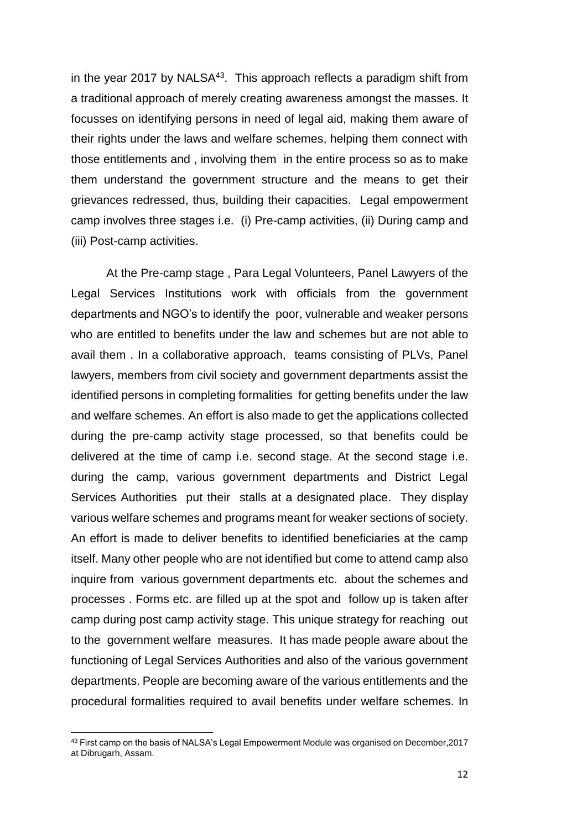in the year 2017 by NALSA<sup>43</sup>. This approach reflects a paradigm shift from a traditional approach of merely creating awareness amongst the masses. It focusses on identifying persons in need of legal aid, making them aware of their rights under the laws and welfare schemes, helping them connect with those entitlements and , involving them in the entire process so as to make them understand the government structure and the means to get their grievances redressed, thus, building their capacities. Legal empowerment camp involves three stages i.e. (i) Pre-camp activities, (ii) During camp and (iii) Post-camp activities.

At the Pre-camp stage , Para Legal Volunteers, Panel Lawyers of the Legal Services Institutions work with officials from the government departments and NGO's to identify the poor, vulnerable and weaker persons who are entitled to benefits under the law and schemes but are not able to avail them . In a collaborative approach, teams consisting of PLVs, Panel lawyers, members from civil society and government departments assist the identified persons in completing formalities for getting benefits under the law and welfare schemes. An effort is also made to get the applications collected during the pre-camp activity stage processed, so that benefits could be delivered at the time of camp i.e. second stage. At the second stage i.e. during the camp, various government departments and District Legal Services Authorities put their stalls at a designated place. They display various welfare schemes and programs meant for weaker sections of society. An effort is made to deliver benefits to identified beneficiaries at the camp itself. Many other people who are not identified but come to attend camp also inquire from various government departments etc. about the schemes and processes . Forms etc. are filled up at the spot and follow up is taken after camp during post camp activity stage. This unique strategy for reaching out to the government welfare measures. It has made people aware about the functioning of Legal Services Authorities and also of the various government departments. People are becoming aware of the various entitlements and the procedural formalities required to avail benefits under welfare schemes. In

<sup>43</sup> First camp on the basis of NALSA's Legal Empowerment Module was organised on December,2017 at Dibrugarh, Assam.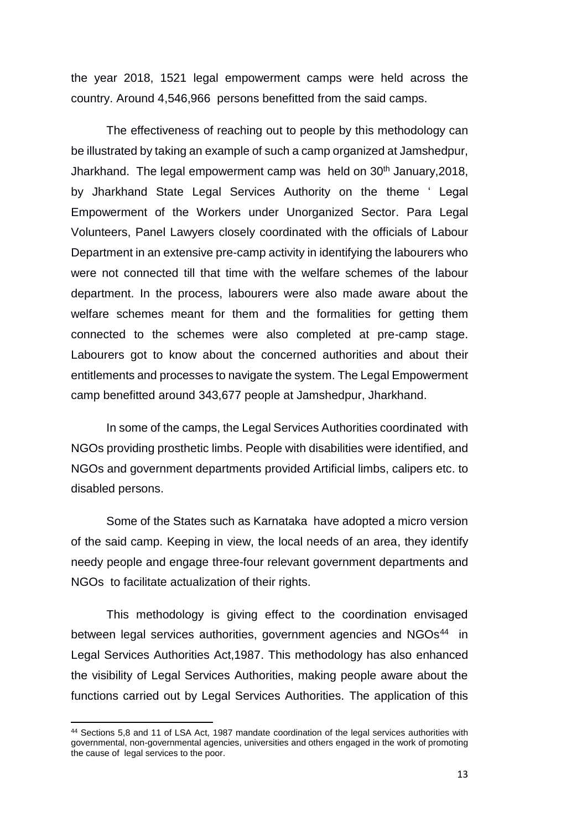the year 2018, 1521 legal empowerment camps were held across the country. Around 4,546,966 persons benefitted from the said camps.

The effectiveness of reaching out to people by this methodology can be illustrated by taking an example of such a camp organized at Jamshedpur, Jharkhand. The legal empowerment camp was held on  $30<sup>th</sup>$  January, 2018, by Jharkhand State Legal Services Authority on the theme ' Legal Empowerment of the Workers under Unorganized Sector. Para Legal Volunteers, Panel Lawyers closely coordinated with the officials of Labour Department in an extensive pre-camp activity in identifying the labourers who were not connected till that time with the welfare schemes of the labour department. In the process, labourers were also made aware about the welfare schemes meant for them and the formalities for getting them connected to the schemes were also completed at pre-camp stage. Labourers got to know about the concerned authorities and about their entitlements and processes to navigate the system. The Legal Empowerment camp benefitted around 343,677 people at Jamshedpur, Jharkhand.

In some of the camps, the Legal Services Authorities coordinated with NGOs providing prosthetic limbs. People with disabilities were identified, and NGOs and government departments provided Artificial limbs, calipers etc. to disabled persons.

Some of the States such as Karnataka have adopted a micro version of the said camp. Keeping in view, the local needs of an area, they identify needy people and engage three-four relevant government departments and NGOs to facilitate actualization of their rights.

This methodology is giving effect to the coordination envisaged between legal services authorities, government agencies and NGOs<sup>44</sup> in Legal Services Authorities Act,1987. This methodology has also enhanced the visibility of Legal Services Authorities, making people aware about the functions carried out by Legal Services Authorities. The application of this

<sup>44</sup> Sections 5,8 and 11 of LSA Act, 1987 mandate coordination of the legal services authorities with governmental, non-governmental agencies, universities and others engaged in the work of promoting the cause of legal services to the poor.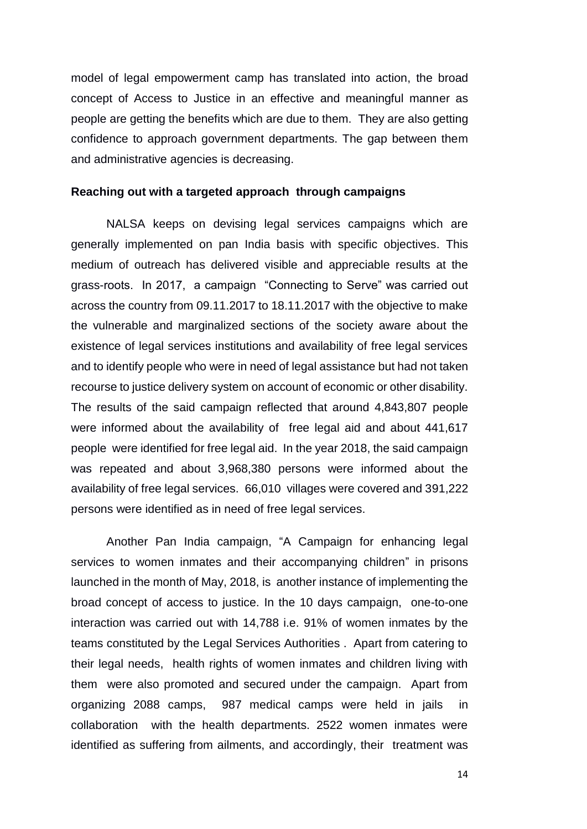model of legal empowerment camp has translated into action, the broad concept of Access to Justice in an effective and meaningful manner as people are getting the benefits which are due to them. They are also getting confidence to approach government departments. The gap between them and administrative agencies is decreasing.

### **Reaching out with a targeted approach through campaigns**

NALSA keeps on devising legal services campaigns which are generally implemented on pan India basis with specific objectives. This medium of outreach has delivered visible and appreciable results at the grass-roots. In 2017, a campaign "Connecting to Serve" was carried out across the country from 09.11.2017 to 18.11.2017 with the objective to make the vulnerable and marginalized sections of the society aware about the existence of legal services institutions and availability of free legal services and to identify people who were in need of legal assistance but had not taken recourse to justice delivery system on account of economic or other disability. The results of the said campaign reflected that around 4,843,807 people were informed about the availability of free legal aid and about 441,617 people were identified for free legal aid. In the year 2018, the said campaign was repeated and about 3,968,380 persons were informed about the availability of free legal services. 66,010 villages were covered and 391,222 persons were identified as in need of free legal services.

Another Pan India campaign, "A Campaign for enhancing legal services to women inmates and their accompanying children" in prisons launched in the month of May, 2018, is another instance of implementing the broad concept of access to justice. In the 10 days campaign, one-to-one interaction was carried out with 14,788 i.e. 91% of women inmates by the teams constituted by the Legal Services Authorities . Apart from catering to their legal needs, health rights of women inmates and children living with them were also promoted and secured under the campaign. Apart from organizing 2088 camps, 987 medical camps were held in jails in collaboration with the health departments. 2522 women inmates were identified as suffering from ailments, and accordingly, their treatment was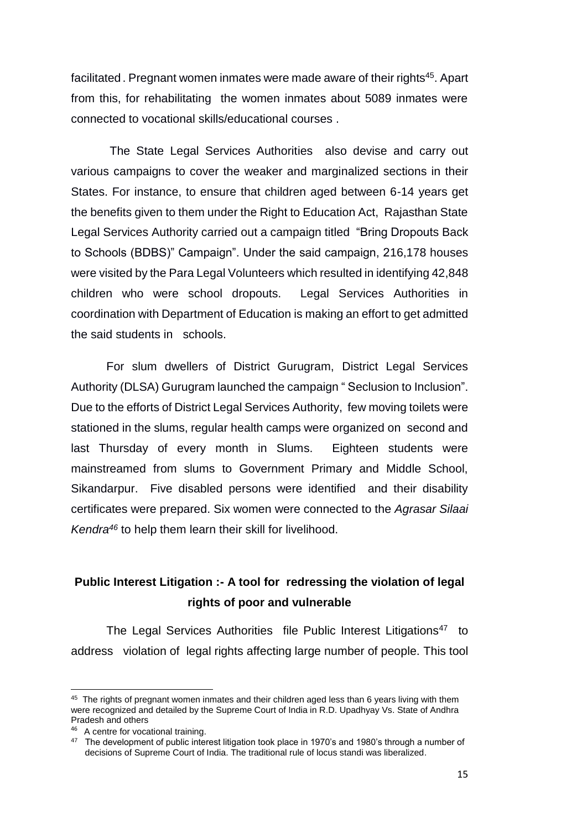facilitated. Pregnant women inmates were made aware of their rights<sup>45</sup>. Apart from this, for rehabilitating the women inmates about 5089 inmates were connected to vocational skills/educational courses .

The State Legal Services Authorities also devise and carry out various campaigns to cover the weaker and marginalized sections in their States. For instance, to ensure that children aged between 6-14 years get the benefits given to them under the Right to Education Act, Rajasthan State Legal Services Authority carried out a campaign titled "Bring Dropouts Back to Schools (BDBS)" Campaign". Under the said campaign, 216,178 houses were visited by the Para Legal Volunteers which resulted in identifying 42,848 children who were school dropouts. Legal Services Authorities in coordination with Department of Education is making an effort to get admitted the said students in schools.

For slum dwellers of District Gurugram, District Legal Services Authority (DLSA) Gurugram launched the campaign " Seclusion to Inclusion". Due to the efforts of District Legal Services Authority, few moving toilets were stationed in the slums, regular health camps were organized on second and last Thursday of every month in Slums. Eighteen students were mainstreamed from slums to Government Primary and Middle School, Sikandarpur. Five disabled persons were identified and their disability certificates were prepared. Six women were connected to the *Agrasar Silaai Kendra<sup>46</sup>* to help them learn their skill for livelihood.

# **Public Interest Litigation :- A tool for redressing the violation of legal rights of poor and vulnerable**

The Legal Services Authorities file Public Interest Litigations<sup>47</sup> to address violation of legal rights affecting large number of people. This tool

 $\overline{\phantom{a}}$ 

<sup>&</sup>lt;sup>45</sup> The rights of pregnant women inmates and their children aged less than 6 years living with them were recognized and detailed by the Supreme Court of India in R.D. Upadhyay Vs. State of Andhra Pradesh and others

<sup>&</sup>lt;sup>46</sup> A centre for vocational training.

<sup>&</sup>lt;sup>47</sup> The development of public interest litigation took place in 1970's and 1980's through a number of decisions of Supreme Court of India. The traditional rule of locus standi was liberalized.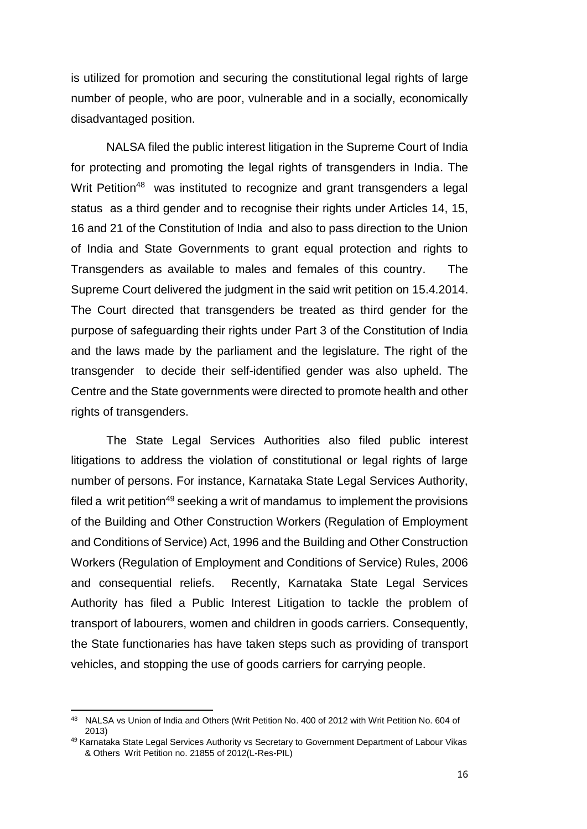is utilized for promotion and securing the constitutional legal rights of large number of people, who are poor, vulnerable and in a socially, economically disadvantaged position.

NALSA filed the public interest litigation in the Supreme Court of India for protecting and promoting the legal rights of transgenders in India. The Writ Petition<sup>48</sup> was instituted to recognize and grant transgenders a legal status as a third gender and to recognise their rights under Articles 14, 15, 16 and 21 of the Constitution of India and also to pass direction to the Union of India and State Governments to grant equal protection and rights to Transgenders as available to males and females of this country. The Supreme Court delivered the judgment in the said writ petition on 15.4.2014. The Court directed that transgenders be treated as third gender for the purpose of safeguarding their rights under Part 3 of the Constitution of India and the laws made by the parliament and the legislature. The right of the transgender to decide their self-identified gender was also upheld. The Centre and the State governments were directed to promote health and other rights of transgenders.

The State Legal Services Authorities also filed public interest litigations to address the violation of constitutional or legal rights of large number of persons. For instance, Karnataka State Legal Services Authority, filed a writ petition<sup>49</sup> seeking a writ of mandamus to implement the provisions of the Building and Other Construction Workers (Regulation of Employment and Conditions of Service) Act, 1996 and the Building and Other Construction Workers (Regulation of Employment and Conditions of Service) Rules, 2006 and consequential reliefs. Recently, Karnataka State Legal Services Authority has filed a Public Interest Litigation to tackle the problem of transport of labourers, women and children in goods carriers. Consequently, the State functionaries has have taken steps such as providing of transport vehicles, and stopping the use of goods carriers for carrying people.

<sup>&</sup>lt;sup>48</sup> NALSA vs Union of India and Others (Writ Petition No. 400 of 2012 with Writ Petition No. 604 of 2013)

<sup>&</sup>lt;sup>49</sup> Karnataka State Legal Services Authority vs Secretary to Government Department of Labour Vikas & Others Writ Petition no. 21855 of 2012(L-Res-PIL)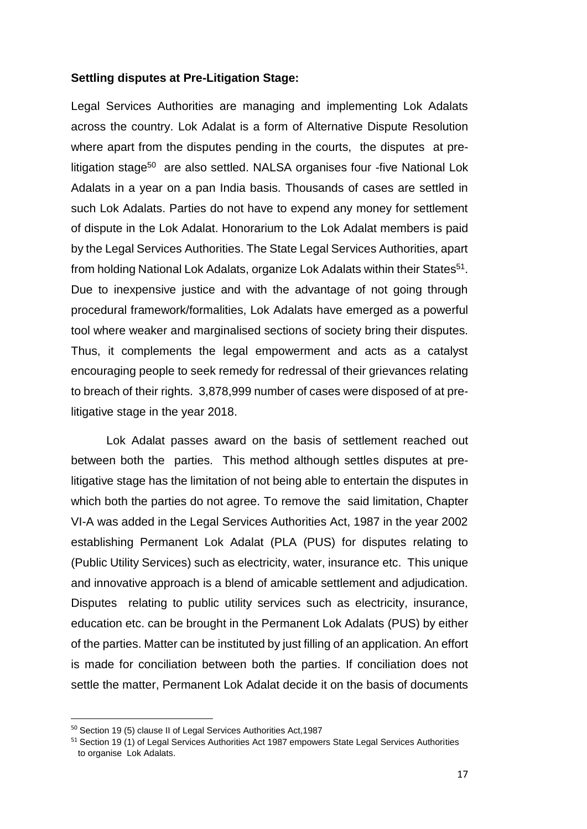### **Settling disputes at Pre-Litigation Stage:**

Legal Services Authorities are managing and implementing Lok Adalats across the country. Lok Adalat is a form of Alternative Dispute Resolution where apart from the disputes pending in the courts, the disputes at prelitigation stage<sup>50</sup> are also settled. NALSA organises four -five National Lok Adalats in a year on a pan India basis. Thousands of cases are settled in such Lok Adalats. Parties do not have to expend any money for settlement of dispute in the Lok Adalat. Honorarium to the Lok Adalat members is paid by the Legal Services Authorities. The State Legal Services Authorities, apart from holding National Lok Adalats, organize Lok Adalats within their States<sup>51</sup>. Due to inexpensive justice and with the advantage of not going through procedural framework/formalities, Lok Adalats have emerged as a powerful tool where weaker and marginalised sections of society bring their disputes. Thus, it complements the legal empowerment and acts as a catalyst encouraging people to seek remedy for redressal of their grievances relating to breach of their rights. 3,878,999 number of cases were disposed of at prelitigative stage in the year 2018.

Lok Adalat passes award on the basis of settlement reached out between both the parties. This method although settles disputes at prelitigative stage has the limitation of not being able to entertain the disputes in which both the parties do not agree. To remove the said limitation, Chapter VI-A was added in the Legal Services Authorities Act, 1987 in the year 2002 establishing Permanent Lok Adalat (PLA (PUS) for disputes relating to (Public Utility Services) such as electricity, water, insurance etc. This unique and innovative approach is a blend of amicable settlement and adjudication. Disputes relating to public utility services such as electricity, insurance, education etc. can be brought in the Permanent Lok Adalats (PUS) by either of the parties. Matter can be instituted by just filling of an application. An effort is made for conciliation between both the parties. If conciliation does not settle the matter, Permanent Lok Adalat decide it on the basis of documents

<sup>50</sup> Section 19 (5) clause II of Legal Services Authorities Act,1987

<sup>&</sup>lt;sup>51</sup> Section 19 (1) of Legal Services Authorities Act 1987 empowers State Legal Services Authorities to organise Lok Adalats.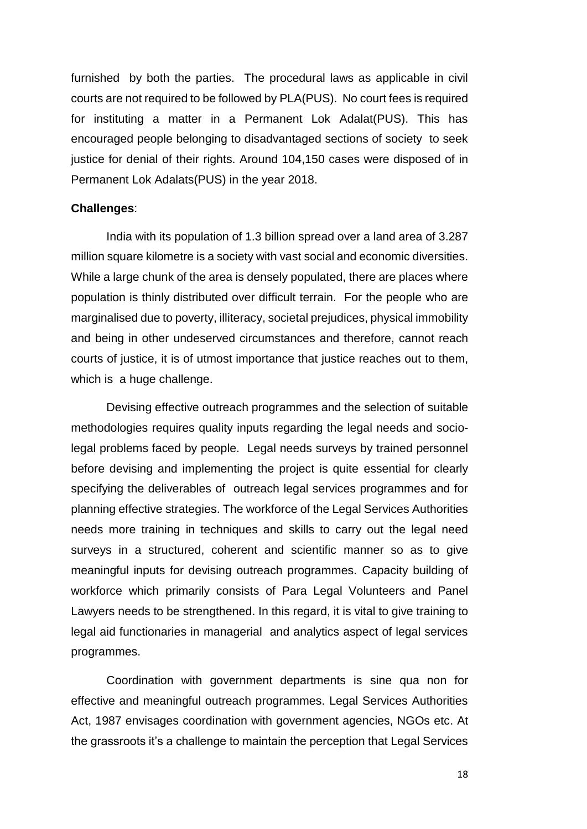furnished by both the parties. The procedural laws as applicable in civil courts are not required to be followed by PLA(PUS). No court fees is required for instituting a matter in a Permanent Lok Adalat(PUS). This has encouraged people belonging to disadvantaged sections of society to seek justice for denial of their rights. Around 104,150 cases were disposed of in Permanent Lok Adalats(PUS) in the year 2018.

### **Challenges**:

India with its population of 1.3 billion spread over a land area of 3.287 million square kilometre is a society with vast social and economic diversities. While a large chunk of the area is densely populated, there are places where population is thinly distributed over difficult terrain. For the people who are marginalised due to poverty, illiteracy, societal prejudices, physical immobility and being in other undeserved circumstances and therefore, cannot reach courts of justice, it is of utmost importance that justice reaches out to them, which is a huge challenge.

Devising effective outreach programmes and the selection of suitable methodologies requires quality inputs regarding the legal needs and sociolegal problems faced by people. Legal needs surveys by trained personnel before devising and implementing the project is quite essential for clearly specifying the deliverables of outreach legal services programmes and for planning effective strategies. The workforce of the Legal Services Authorities needs more training in techniques and skills to carry out the legal need surveys in a structured, coherent and scientific manner so as to give meaningful inputs for devising outreach programmes. Capacity building of workforce which primarily consists of Para Legal Volunteers and Panel Lawyers needs to be strengthened. In this regard, it is vital to give training to legal aid functionaries in managerial and analytics aspect of legal services programmes.

Coordination with government departments is sine qua non for effective and meaningful outreach programmes. Legal Services Authorities Act, 1987 envisages coordination with government agencies, NGOs etc. At the grassroots it's a challenge to maintain the perception that Legal Services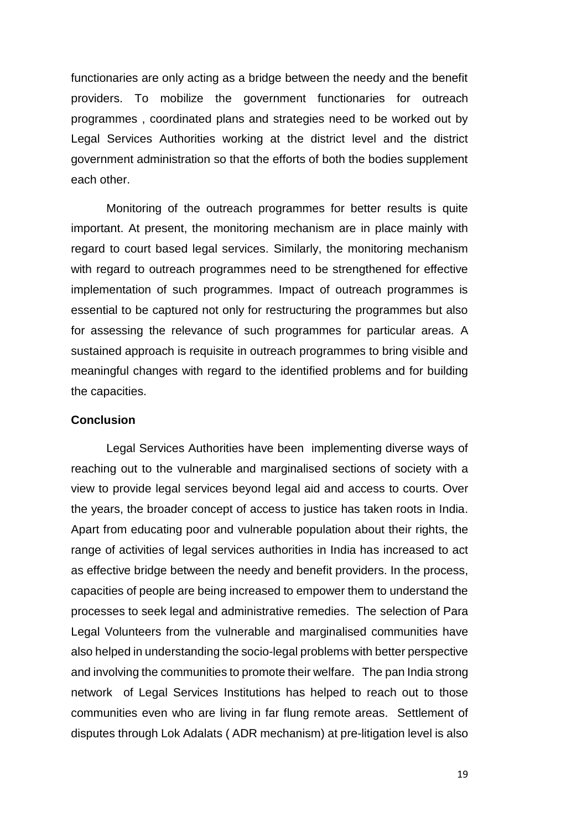functionaries are only acting as a bridge between the needy and the benefit providers. To mobilize the government functionaries for outreach programmes , coordinated plans and strategies need to be worked out by Legal Services Authorities working at the district level and the district government administration so that the efforts of both the bodies supplement each other.

Monitoring of the outreach programmes for better results is quite important. At present, the monitoring mechanism are in place mainly with regard to court based legal services. Similarly, the monitoring mechanism with regard to outreach programmes need to be strengthened for effective implementation of such programmes. Impact of outreach programmes is essential to be captured not only for restructuring the programmes but also for assessing the relevance of such programmes for particular areas. A sustained approach is requisite in outreach programmes to bring visible and meaningful changes with regard to the identified problems and for building the capacities.

### **Conclusion**

Legal Services Authorities have been implementing diverse ways of reaching out to the vulnerable and marginalised sections of society with a view to provide legal services beyond legal aid and access to courts. Over the years, the broader concept of access to justice has taken roots in India. Apart from educating poor and vulnerable population about their rights, the range of activities of legal services authorities in India has increased to act as effective bridge between the needy and benefit providers. In the process, capacities of people are being increased to empower them to understand the processes to seek legal and administrative remedies. The selection of Para Legal Volunteers from the vulnerable and marginalised communities have also helped in understanding the socio-legal problems with better perspective and involving the communities to promote their welfare. The pan India strong network of Legal Services Institutions has helped to reach out to those communities even who are living in far flung remote areas. Settlement of disputes through Lok Adalats ( ADR mechanism) at pre-litigation level is also